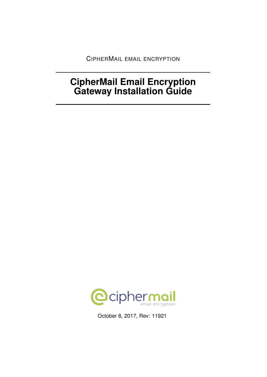CIPHERMAIL EMAIL ENCRYPTION

# **CipherMail Email Encryption Gateway Installation Guide**



October 8, 2017, Rev: 11921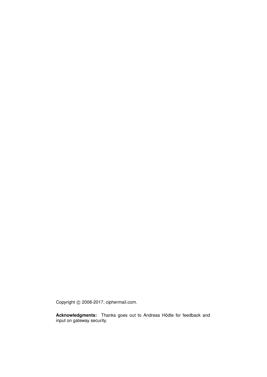Copyright © 2008-2017, ciphermail.com.

**Acknowledgments:** Thanks goes out to Andreas Hödle for feedback and input on gateway security.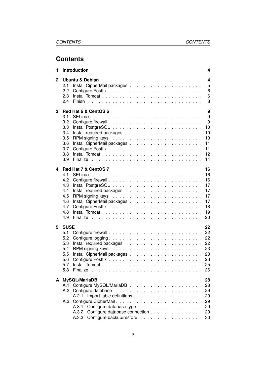# **Contents**

| 1            | Introduction                                                                                     | 4                                                        |
|--------------|--------------------------------------------------------------------------------------------------|----------------------------------------------------------|
| $\mathbf{2}$ | <b>Ubuntu &amp; Debian</b><br>2.1<br>2.2<br>2.3<br>2.4                                           | 4<br>5<br>6<br>6<br>8                                    |
| 3            | Red Hat 6 & CentOS 6<br>3.1<br>3.2<br>3.3<br>3.4<br>3.5<br>3.6<br>3.7<br>3.8<br>3.9              | 9<br>9<br>9<br>10<br>10<br>10<br>11<br>11<br>12<br>14    |
| 4            | Red Hat 7 & CentOS 7<br>4.1<br>4.2<br>4.3<br>4.4<br>4.5<br>4.6<br>4.7<br>4.8<br>4.9              | 16<br>16<br>16<br>17<br>17<br>17<br>17<br>18<br>19<br>20 |
| 5            | <b>SUSE</b><br>5.1<br>5.2<br>5.3<br>5.4<br>5.5<br>5.6<br>5.7<br>5.8                              | 22<br>22<br>22<br>22<br>23<br>23<br>23<br>25<br>26       |
| A            | MySQL/MariaDB<br>A.1<br>A.2.1<br>A.3<br>A.3.1<br>Configure database connection<br>A.3.2<br>A.3.3 | 28<br>28<br>29<br>29<br>29<br>29<br>29<br>30             |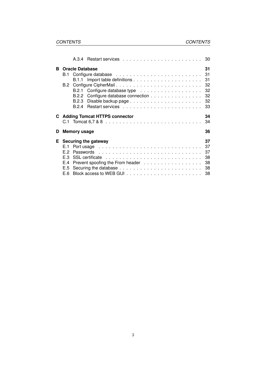|    |                                        | A.3.4                                                                                                                                                                                                                                                  |  |  |  |  |  |  |  |  |  |  |  |  |  |                                        |
|----|----------------------------------------|--------------------------------------------------------------------------------------------------------------------------------------------------------------------------------------------------------------------------------------------------------|--|--|--|--|--|--|--|--|--|--|--|--|--|----------------------------------------|
| в  | B.2                                    | <b>Oracle Database</b><br>B.2.2 Configure database connection                                                                                                                                                                                          |  |  |  |  |  |  |  |  |  |  |  |  |  | 31<br>31<br>31<br>32<br>32<br>32<br>33 |
|    |                                        | <b>C</b> Adding Tomcat HTTPS connector                                                                                                                                                                                                                 |  |  |  |  |  |  |  |  |  |  |  |  |  | 34<br>34                               |
| D  |                                        | Memory usage                                                                                                                                                                                                                                           |  |  |  |  |  |  |  |  |  |  |  |  |  | 36                                     |
| E. | E.1<br>E.2<br>E.3<br>E.4<br>E.5<br>E.6 | Securing the gateway<br>Port usage entertainment and the contract of the contract of the contract of the contract of the contract of the contract of the contract of the contract of the contract of the contract of the contract of the contract of t |  |  |  |  |  |  |  |  |  |  |  |  |  | 37<br>37<br>37<br>38<br>38<br>38<br>38 |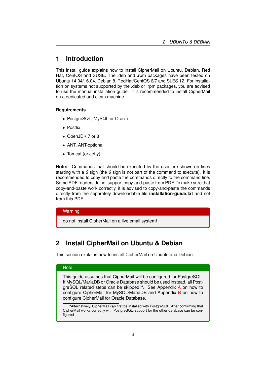# <span id="page-4-0"></span>**1 Introduction**

This install guide explains how to install CipherMail on Ubuntu, Debian, Red Hat, CentOS and SUSE. The .deb and .rpm packages have been tested on Ubuntu 14.04/16.04, Debian 8, RedHat/CentOS 6/7 and SLES 12. For installation on systems not supported by the .deb or .rpm packages, you are advised to use the manual installation guide. It is recommended to install CipherMail on a dedicated and clean machine.

### **Requirements**

- PostgreSQL, MySQL or Oracle
- Postfix
- OpenJDK 7 or 8
- ANT, ANT-optional
- Tomcat (or Jetty)

**Note:** Commands that should be executed by the user are shown on lines starting with a *\$* sign (the *\$* sign is not part of the command to execute). It is recommended to copy and paste the commands directly to the command line. Some PDF readers do not support copy-and-paste from PDF. To make sure that copy-and-paste work correctly, it is advised to copy-and-paste the commands directly from the separately downloadable file **installation-guide.txt** and not from this PDF.

### **Warning**

do not install CipherMail on a live email system!

# <span id="page-4-1"></span>**2 Install CipherMail on Ubuntu & Debian**

This section explains how to install CipherMail on Ubuntu and Debian.

# **Note**

This guide assumes that CipherMail will be configured for PostgreSQL. If MySQL/MariaDB or Oracle Database should be used instead, all PostgreSQL related steps can be skipped *<sup>a</sup>* . See Appendix [A](#page-28-0) on how to configure CipherMail for MySQL/MariaDB and Appendix [B](#page-31-0) on how to configure CipherMail for Oracle Database.

*<sup>a</sup>*Alternatively, CipherMail can first be installed with PostgreSQL. After confirming that CipherMail works correctly with PostgreSQL, support for the other database can be configured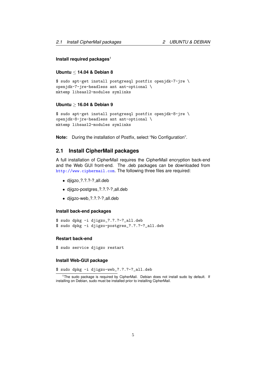#### **Install required packages**<sup>1</sup>

# **Ubuntu** ≤ **14.04 & Debian 8**

```
$ sudo apt-get install postgresql postfix openjdk-7-jre \
openjdk-7-jre-headless ant ant-optional \
mktemp libsasl2-modules symlinks
```
### **Ubuntu** ≥ **16.04 & Debian 9**

```
$ sudo apt-get install postgresql postfix openjdk-8-jre \
openjdk-8-jre-headless ant ant-optional \
mktemp libsasl2-modules symlinks
```
**Note:** During the installation of Postfix, select "No Configuration".

# <span id="page-5-0"></span>**2.1 Install CipherMail packages**

A full installation of CipherMail requires the CipherMail encryption back-end and the Web GUI front-end. The .deb packages can be downloaded from <http://www.ciphermail.com>. The following three files are required:

- djigzo ?.?.?-? all.deb
- djigzo-postgres ?.?.?-? all.deb
- djigzo-web ?.?.?-? all.deb

### **Install back-end packages**

```
$ sudo dpkg -i djigzo_?.?.?-?_all.deb
$ sudo dpkg -i djigzo-postgres_?.?.?-?_all.deb
```
### **Restart back-end**

\$ sudo service djigzo restart

### **Install Web-GUI package**

\$ sudo dpkg -i djigzo-web\_?.?.?-?\_all.deb

<sup>&</sup>lt;sup>1</sup>The sudo package is required by CipherMail. Debian does not install sudo by default. If installing on Debian, sudo must be installed prior to installing CipherMail.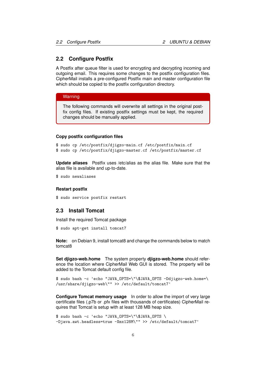# <span id="page-6-0"></span>**2.2 Configure Postfix**

A Postfix after queue filter is used for encrypting and decrypting incoming and outgoing email. This requires some changes to the postfix configuration files. CipherMail installs a pre-configured Postfix main and master configuration file which should be copied to the postfix configuration directory.

### **Warning**

The following commands will overwrite all settings in the original postfix config files. If existing postfix settings must be kept, the required changes should be manually applied.

#### **Copy postfix configuration files**

```
$ sudo cp /etc/postfix/djigzo-main.cf /etc/postfix/main.cf
$ sudo cp /etc/postfix/djigzo-master.cf /etc/postfix/master.cf
```
**Update aliases** Postfix uses /etc/alias as the alias file. Make sure that the alias file is available and up-to-date.

\$ sudo newaliases

### **Restart postfix**

```
$ sudo service postfix restart
```
### <span id="page-6-1"></span>**2.3 Install Tomcat**

Install the required Tomcat package

\$ sudo apt-get install tomcat7

**Note:** on Debian 9, install tomcat8 and change the commands below to match tomcat8

**Set djigzo-web.home** The system property **djigzo-web.home** should reference the location where CipherMail Web GUI is stored. The property will be added to the Tomcat default config file.

\$ sudo bash -c 'echo "JAVA\_OPTS=\"\\$JAVA\_OPTS -Ddjigzo-web.home=\ /usr/share/djigzo-web\"" >> /etc/default/tomcat7'

**Configure Tomcat memory usage** In order to allow the import of very large certificate files (.p7b or .pfx files with thousands of certificates) CipherMail requires that Tomcat is setup with at least 128 MB heap size.

```
$ sudo bash -c 'echo "JAVA_OPTS=\"\$JAVA_OPTS \
-Djava.awt.headless=true -Xmx128M\"" >> /etc/default/tomcat7'
```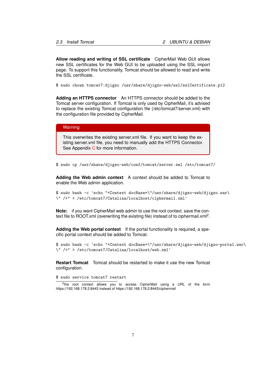**Allow reading and writing of SSL certificate** CipherMail Web GUI allows new SSL certificates for the Web GUI to be uploaded using the SSL import page. To support this functionality, Tomcat should be allowed to read and write the SSL certificate.

\$ sudo chown tomcat7:djigzo /usr/share/djigzo-web/ssl/sslCertificate.p12

**Adding an HTTPS connector** An HTTPS connector should be added to the Tomcat server configuration. If Tomcat is only used by CipherMail, it's advised to replace the existing Tomcat configuration file (/etc/tomcat7/server.xml) with the configuration file provided by CipherMail.

### **Warning**

This overwrites the existing server.xml file. If you want to keep the existing server.xml file, you need to manually add the HTTPS Connector. See Appendix [C](#page-34-0) for more information.

\$ sudo cp /usr/share/djigzo-web/conf/tomcat/server.xml /etc/tomcat7/

**Adding the Web admin context** A context should be added to Tomcat to enable the Web admin application.

\$ sudo bash -c 'echo "<Context docBase=\"/usr/share/djigzo-web/djigzo.war\ \" />" > /etc/tomcat7/Catalina/localhost/ciphermail.xml'

**Note:** if you want CipherMail web admin to use the root context, save the context file to ROOT.xml (overwriting the existing file) instead of to ciphermail.xml<sup>2</sup>.

**Adding the Web portal context** If the portal functionality is required, a specific portal context should be added to Tomcat.

\$ sudo bash -c 'echo "<Context docBase=\"/usr/share/djigzo-web/djigzo-portal.war\ \" />" > /etc/tomcat7/Catalina/localhost/web.xml'

**Restart Tomcat** Tomcat should be restarted to make it use the new Tomcat configuration.

\$ sudo service tomcat7 restart

<sup>2</sup>the root context allows you to access CipherMail using a URL of the form https://192.168.178.2:8443 instead of https://192.168.178.2:8443/ciphermail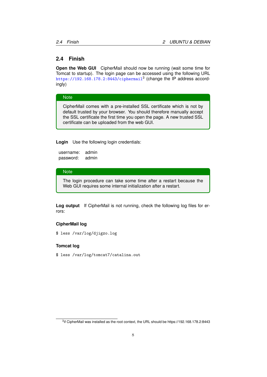# <span id="page-8-0"></span>**2.4 Finish**

**Open the Web GUI** CipherMail should now be running (wait some time for Tomcat to startup). The login page can be accessed using the following URL  $\texttt{https://192.168.178.2:8443/ciphermail}^3$  $\texttt{https://192.168.178.2:8443/ciphermail}^3$  $\texttt{https://192.168.178.2:8443/ciphermail}^3$  (change the IP address accordingly)

#### **Note**

CipherMail comes with a pre-installed SSL certificate which is not by default trusted by your browser. You should therefore manually accept the SSL certificate the first time you open the page. A new trusted SSL certificate can be uploaded from the web GUI.

**Login** Use the following login credentials:

username: admin password: admin

### **Note**

The login procedure can take some time after a restart because the Web GUI requires some internal initialization after a restart.

**Log output** If CipherMail is not running, check the following log files for errors:

## **CipherMail log**

\$ less /var/log/djigzo.log

### **Tomcat log**

\$ less /var/log/tomcat7/catalina.out

 ${}^{3}$ if CipherMail was installed as the root context, the URL should be https://192.168.178.2:8443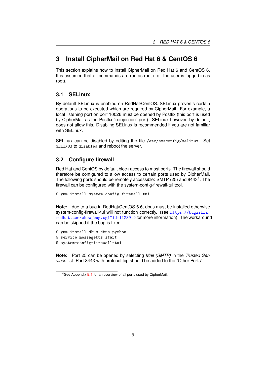# <span id="page-9-0"></span>**3 Install CipherMail on Red Hat 6 & CentOS 6**

This section explains how to install CipherMail on Red Hat 6 and CentOS 6. It is assumed that all commands are run as root (i.e., the user is logged in as root).

# <span id="page-9-1"></span>**3.1 SELinux**

By default SELinux is enabled on RedHat/CentOS. SELinux prevents certain operations to be executed which are required by CipherMail. For example, a local listening port on port 10026 must be opened by Postfix (this port is used by CipherMail as the Postfix "reinjection" port). SELinux however, by default, does not allow this. Disabling SELinux is recommended if you are not familiar with SELinux.

SELinux can be disabled by editing the file /etc/sysconfig/selinux. Set SELINUX to disabled and reboot the server.

# <span id="page-9-2"></span>**3.2 Configure firewall**

Red Hat and CentOS by default block access to most ports. The firewall should therefore be configured to allow access to certain ports used by CipherMail. The following ports should be remotely accessible: SMTP (25) and 8443<sup>4</sup>. The firewall can be configured with the system-config-firewall-tui tool.

```
$ yum install system-config-firewall-tui
```
**Note:** due to a bug in RedHat/CentOS 6.6, dbus must be installed otherwise system-config-firewall-tui will not function correctly. (see [https://bugzilla.](https://bugzilla.redhat.com/show_bug.cgi?id=1123919) [redhat.com/show\\_bug.cgi?id=1123919](https://bugzilla.redhat.com/show_bug.cgi?id=1123919) for more information). The workaround can be skipped if the bug is fixed

- \$ yum install dbus dbus-python
- \$ service messagebus start
- \$ system-config-firewall-tui

**Note:** Port 25 can be opened by selecting *Mail (SMTP)* in the *Trusted Services* list. Port 8443 with protocol tcp should be added to the "Other Ports".

<sup>4</sup>See Appendix [E.1](#page-37-1) for an overview of all ports used by CipherMail.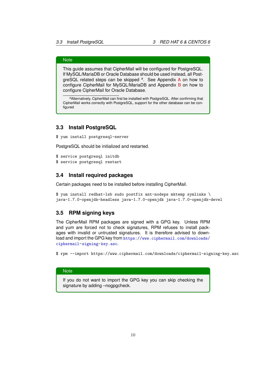# **Note**

This guide assumes that CipherMail will be configured for PostgreSQL. If MySQL/MariaDB or Oracle Database should be used instead, all PostgreSQL related steps can be skipped *<sup>a</sup>* . See Appendix [A](#page-28-0) on how to configure CipherMail for MySQL/MariaD[B](#page-31-0) and Appendix B on how to configure CipherMail for Oracle Database.

*<sup>a</sup>*Alternatively, CipherMail can first be installed with PostgreSQL. After confirming that CipherMail works correctly with PostgreSQL, support for the other database can be configured

## <span id="page-10-0"></span>**3.3 Install PostgreSQL**

\$ yum install postgresql-server

PostgreSQL should be initialized and restarted.

\$ service postgresql initdb \$ service postgresql restart

# <span id="page-10-1"></span>**3.4 Install required packages**

Certain packages need to be installed before installing CipherMail.

\$ yum install redhat-lsb sudo postfix ant-nodeps mktemp symlinks \ java-1.7.0-openjdk-headless java-1.7.0-openjdk java-1.7.0-openjdk-devel

# <span id="page-10-2"></span>**3.5 RPM signing keys**

The CipherMail RPM packages are signed with a GPG key. Unless RPM and yum are forced not to check signatures, RPM refuses to install packages with invalid or untrusted signatures. It is therefore advised to download and import the GPG key from [https://www.ciphermail.com/downloads/](https://www.ciphermail.com/downloads/ciphermail-signing-key.asc) [ciphermail-signing-key.asc](https://www.ciphermail.com/downloads/ciphermail-signing-key.asc).

\$ rpm --import https://www.ciphermail.com/downloads/ciphermail-signing-key.asc

### **Note**

If you do not want to import the GPG key you can skip checking the signature by adding –nogpgcheck.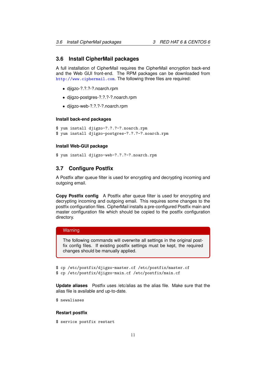# <span id="page-11-0"></span>**3.6 Install CipherMail packages**

A full installation of CipherMail requires the CipherMail encryption back-end and the Web GUI front-end. The RPM packages can be downloaded from <http://www.ciphermail.com>. The following three files are required:

- djigzo-?.?.?-?.noarch.rpm
- djigzo-postgres-?.?.?-?.noarch.rpm
- djigzo-web-?.?.?-?.noarch.rpm

#### **Install back-end packages**

```
$ yum install djigzo-?.?.?-?.noarch.rpm
$ yum install djigzo-postgres-?.?.?-?.noarch.rpm
```
#### **Install Web-GUI package**

```
$ yum install djigzo-web-?.?.?-?.noarch.rpm
```
# <span id="page-11-1"></span>**3.7 Configure Postfix**

A Postfix after queue filter is used for encrypting and decrypting incoming and outgoing email.

**Copy Postfix config** A Postfix after queue filter is used for encrypting and decrypting incoming and outgoing email. This requires some changes to the postfix configuration files. CipherMail installs a pre-configured Postfix main and master configuration file which should be copied to the postfix configuration directory.

### **Warning**

The following commands will overwrite all settings in the original postfix config files. If existing postfix settings must be kept, the required changes should be manually applied.

```
$ cp /etc/postfix/djigzo-master.cf /etc/postfix/master.cf
```
\$ cp /etc/postfix/djigzo-main.cf /etc/postfix/main.cf

**Update aliases** Postfix uses /etc/alias as the alias file. Make sure that the alias file is available and up-to-date.

\$ newaliases

#### **Restart postfix**

\$ service postfix restart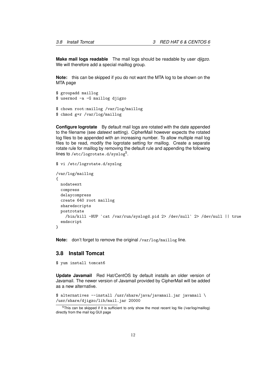**Make mail logs readable** The mail logs should be readable by user *djigzo*. We will therefore add a special maillog group.

**Note:** this can be skipped if you do not want the MTA log to be shown on the MTA page

```
$ groupadd maillog
$ usermod -a -G maillog djigzo
$ chown root:maillog /var/log/maillog
```

```
$ chmod g+r /var/log/maillog
```
**Configure logrotate** By default mail logs are rotated with the date appended to the filename (see *dateext* setting). CipherMail however expects the rotated log files to be appended with an increasing number. To allow multiple mail log files to be read, modify the logrotate setting for maillog. Create a separate rotate rule for maillog by removing the default rule and appending the following lines to /etc/logrotate.d/syslog<sup>5</sup>.

## \$ vi /etc/logrotate.d/syslog

```
/var/log/maillog
{
 nodateext
 compress
 delaycompress
 create 640 root maillog
  sharedscripts
 postrotate
   /bin/kill -HUP `cat /var/run/syslogd.pid 2> /dev/null` 2> /dev/null || true
  endscript
}
```
**Note:** don't forget to remove the original /var/log/maillog line.

# <span id="page-12-0"></span>**3.8 Install Tomcat**

\$ yum install tomcat6

**Update Javamail** Red Hat/CentOS by default installs an older version of Javamail. The newer version of Javamail provided by CipherMail will be added as a new alternative.

```
$ alternatives --install /usr/share/java/javamail.jar javamail \
/usr/share/djigzo/lib/mail.jar 20000
```
<sup>&</sup>lt;sup>5</sup>This can be skipped if it is sufficient to only show the most recent log file (/var/log/maillog) directly from the mail log GUI page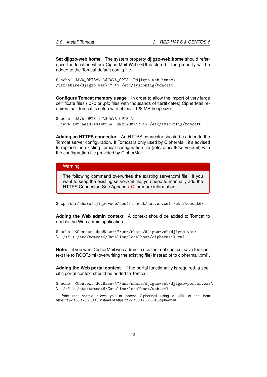**Set djigzo-web.home** The system property **djigzo-web.home** should reference the location where CipherMail Web GUI is stored. The property will be added to the Tomcat default config file.

\$ echo "JAVA\_OPTS=\"\\$JAVA\_OPTS -Ddjigzo-web.home=\ /usr/share/djigzo-web\"" >> /etc/sysconfig/tomcat6

**Configure Tomcat memory usage** In order to allow the import of very large certificate files (.p7b or .pfx files with thousands of certificates) CipherMail requires that Tomcat is setup with at least 128 MB heap size.

```
$ echo "JAVA_OPTS=\"\$JAVA_OPTS \
-Djava.awt.headless=true -Xmx128M\"" >> /etc/sysconfig/tomcat6
```
**Adding an HTTPS connector** An HTTPS connector should be added to the Tomcat server configuration. If Tomcat is only used by CipherMail, it's advised to replace the existing Tomcat configuration file (/etc/tomcat6/server.xml) with the configuration file provided by CipherMail.

#### **Warning**

The following command overwrites the existing server.xml file. If you want to keep the existing server.xml file, you need to manually add the HTTPS [C](#page-34-0)onnector. See Appendix C for more information.

\$ cp /usr/share/djigzo-web/conf/tomcat/server.xml /etc/tomcat6/

**Adding the Web admin context** A context should be added to Tomcat to enable the Web admin application.

\$ echo "<Context docBase=\"/usr/share/djigzo-web/djigzo.war\ \" />" > /etc/tomcat6/Catalina/localhost/ciphermail.xml

**Note:** if you want CipherMail web admin to use the root context, save the context file to ROOT.xml (overwriting the existing file) instead of to ciphermail.xml<sup>6</sup>.

**Adding the Web portal context** If the portal functionality is required, a specific portal context should be added to Tomcat.

\$ echo "<Context docBase=\"/usr/share/djigzo-web/djigzo-portal.war\ \" />" > /etc/tomcat6/Catalina/localhost/web.xml

<sup>&</sup>lt;sup>6</sup>the root context allows you to access CipherMail using a URL of the form https://192.168.178.2:8443 instead of https://192.168.178.2:8843/ciphermail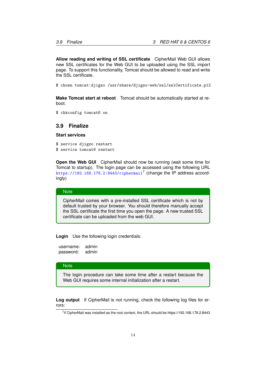**Allow reading and writing of SSL certificate** CipherMail Web GUI allows new SSL certificates for the Web GUI to be uploaded using the SSL import page. To support this functionality, Tomcat should be allowed to read and write the SSL certificate.

\$ chown tomcat:djigzo /usr/share/djigzo-web/ssl/sslCertificate.p12

**Make Tomcat start at reboot** Tomcat should be automatically started at reboot.

\$ chkconfig tomcat6 on

# <span id="page-14-0"></span>**3.9 Finalize**

### **Start services**

\$ service djigzo restart \$ service tomcat6 restart

**Open the Web GUI** CipherMail should now be running (wait some time for Tomcat to startup). The login page can be accessed using the following URL <https://192.168.178.2:8443/ciphermail><sup>7</sup> (change the IP address accordingly)

#### **Note**

CipherMail comes with a pre-installed SSL certificate which is not by default trusted by your browser. You should therefore manually accept the SSL certificate the first time you open the page. A new trusted SSL certificate can be uploaded from the web GUI.

**Login** Use the following login credentials:

username: admin password: admin

#### **Note**

The login procedure can take some time after a restart because the Web GUI requires some internal initialization after a restart.

**Log output** If CipherMail is not running, check the following log files for errors:

<sup>&</sup>lt;sup>7</sup>if CipherMail was installed as the root context, the URL should be https://192.168.178.2:8443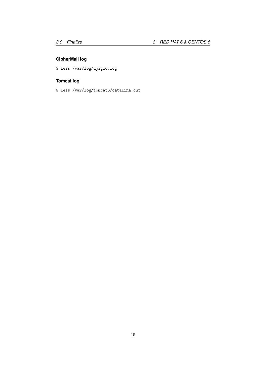# **CipherMail log**

\$ less /var/log/djigzo.log

# **Tomcat log**

\$ less /var/log/tomcat6/catalina.out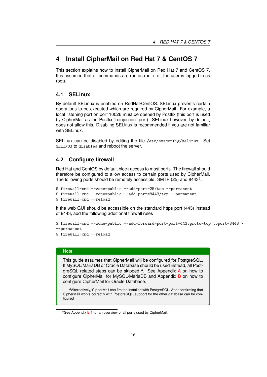# <span id="page-16-0"></span>**4 Install CipherMail on Red Hat 7 & CentOS 7**

This section explains how to install CipherMail on Red Hat 7 and CentOS 7. It is assumed that all commands are run as root (i.e., the user is logged in as root).

# <span id="page-16-1"></span>**4.1 SELinux**

By default SELinux is enabled on RedHat/CentOS. SELinux prevents certain operations to be executed which are required by CipherMail. For example, a local listening port on port 10026 must be opened by Postfix (this port is used by CipherMail as the Postfix "reinjection" port). SELinux however, by default, does not allow this. Disabling SELinux is recommended if you are not familiar with SELinux.

SELinux can be disabled by editing the file /etc/sysconfig/selinux. Set SELINUX to disabled and reboot the server.

# <span id="page-16-2"></span>**4.2 Configure firewall**

Red Hat and CentOS by default block access to most ports. The firewall should therefore be configured to allow access to certain ports used by CipherMail. The following ports should be remotely accessible: SMTP (25) and 84438.

```
$ firewall-cmd --zone=public --add-port=25/tcp --permanent
$ firewall-cmd --zone=public --add-port=8443/tcp --permanent
$ firewall-cmd --reload
```
If the web GUI should be accessible on the standard https port (443) instead of 8443, add the following additional firewall rules

```
$ firewall-cmd --zone=public --add-forward-port=port=443:proto=tcp:toport=8443 \
--permanent
```

```
$ firewall-cmd --reload
```
### **Note**

This guide assumes that CipherMail will be configured for PostgreSQL. If MySQL/MariaDB or Oracle Database should be used instead, all PostgreSQL related steps can be skipped *<sup>a</sup>* . See Appendix [A](#page-28-0) on how to configure CipherMail for MySQL/MariaDB and Appendix [B](#page-31-0) on how to configure CipherMail for Oracle Database.

*<sup>a</sup>*Alternatively, CipherMail can first be installed with PostgreSQL. After confirming that CipherMail works correctly with PostgreSQL, support for the other database can be configured

 $8$ See Appendix [E.1](#page-37-1) for an overview of all ports used by CipherMail.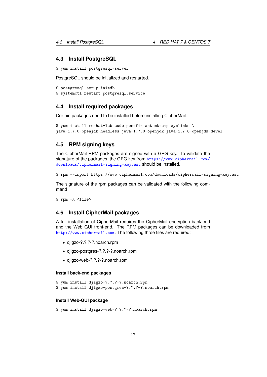# <span id="page-17-0"></span>**4.3 Install PostgreSQL**

```
$ yum install postgresql-server
```
PostgreSQL should be initialized and restarted.

```
$ postgresql-setup initdb
$ systemctl restart postgresql.service
```
## <span id="page-17-1"></span>**4.4 Install required packages**

Certain packages need to be installed before installing CipherMail.

```
$ yum install redhat-lsb sudo postfix ant mktemp symlinks \
java-1.7.0-openjdk-headless java-1.7.0-openjdk java-1.7.0-openjdk-devel
```
# <span id="page-17-2"></span>**4.5 RPM signing keys**

The CipherMail RPM packages are signed with a GPG key. To validate the signature of the packages, the GPG key from [https://www.ciphermail.com/](https://www.ciphermail.com/downloads/ciphermail-signing-key.asc) [downloads/ciphermail-signing-key.asc](https://www.ciphermail.com/downloads/ciphermail-signing-key.asc) should be installed.

```
$ rpm --import https://www.ciphermail.com/downloads/ciphermail-signing-key.asc
```
The signature of the rpm packages can be validated with the following command

\$ rpm -K <file>

# <span id="page-17-3"></span>**4.6 Install CipherMail packages**

A full installation of CipherMail requires the CipherMail encryption back-end and the Web GUI front-end. The RPM packages can be downloaded from <http://www.ciphermail.com>. The following three files are required:

- djigzo-?.?.?-?.noarch.rpm
- djigzo-postgres-?.?.?-?.noarch.rpm
- djigzo-web-?.?.?-?.noarch.rpm

#### **Install back-end packages**

```
$ yum install djigzo-?.?.?-?.noarch.rpm
```
\$ yum install djigzo-postgres-?.?.?-?.noarch.rpm

### **Install Web-GUI package**

\$ yum install djigzo-web-?.?.?-?.noarch.rpm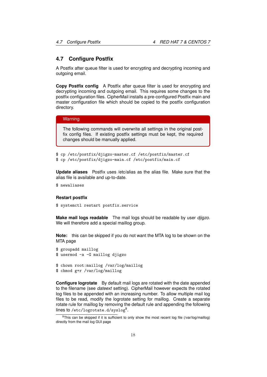## <span id="page-18-0"></span>**4.7 Configure Postfix**

A Postfix after queue filter is used for encrypting and decrypting incoming and outgoing email.

**Copy Postfix config** A Postfix after queue filter is used for encrypting and decrypting incoming and outgoing email. This requires some changes to the postfix configuration files. CipherMail installs a pre-configured Postfix main and master configuration file which should be copied to the postfix configuration directory.

#### Warning

The following commands will overwrite all settings in the original postfix config files. If existing postfix settings must be kept, the required changes should be manually applied.

```
$ cp /etc/postfix/djigzo-master.cf /etc/postfix/master.cf
$ cp /etc/postfix/djigzo-main.cf /etc/postfix/main.cf
```
**Update aliases** Postfix uses /etc/alias as the alias file. Make sure that the alias file is available and up-to-date.

```
$ newaliases
```
#### **Restart postfix**

```
$ systemctl restart postfix.service
```
**Make mail logs readable** The mail logs should be readable by user *djigzo*. We will therefore add a special maillog group.

**Note:** this can be skipped if you do not want the MTA log to be shown on the MTA page

```
$ groupadd maillog
$ usermod -a -G maillog djigzo
$ chown root:maillog /var/log/maillog
$ chmod g+r /var/log/maillog
```
**Configure logrotate** By default mail logs are rotated with the date appended to the filename (see *dateext* setting). CipherMail however expects the rotated log files to be appended with an increasing number. To allow multiple mail log files to be read, modify the logrotate setting for maillog. Create a separate rotate rule for maillog by removing the default rule and appending the following lines to /etc/logrotate.d/syslog<sup>9</sup>.

<sup>&</sup>lt;sup>9</sup>This can be skipped if it is sufficient to only show the most recent log file (/var/log/maillog) directly from the mail log GUI page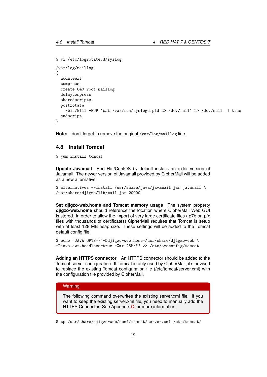```
$ vi /etc/logrotate.d/syslog
```

```
/var/log/maillog
{
 nodateext
  compress
  create 640 root maillog
  delaycompress
  sharedscripts
  postrotate
    /bin/kill -HUP `cat /var/run/syslogd.pid 2> /dev/null` 2> /dev/null || true
  endscript
}
```
**Note:** don't forget to remove the original /var/log/maillog line.

# <span id="page-19-0"></span>**4.8 Install Tomcat**

\$ yum install tomcat

**Update Javamail** Red Hat/CentOS by default installs an older version of Javamail. The newer version of Javamail provided by CipherMail will be added as a new alternative.

```
$ alternatives --install /usr/share/java/javamail.jar javamail \
/usr/share/djigzo/lib/mail.jar 20000
```
**Set djigzo-web.home and Tomcat memory usage** The system property **djigzo-web.home** should reference the location where CipherMail Web GUI is stored. In order to allow the import of very large certificate files (.p7b or .pfx files with thousands of certificates) CipherMail requires that Tomcat is setup with at least 128 MB heap size. These settings will be added to the Tomcat default config file:

```
$ echo "JAVA_OPTS=\"-Ddjigzo-web.home=/usr/share/djigzo-web \
-Djava.awt.headless=true -Xmx128M\"" >> /etc/sysconfig/tomcat
```
**Adding an HTTPS connector** An HTTPS connector should be added to the Tomcat server configuration. If Tomcat is only used by CipherMail, it's advised to replace the existing Tomcat configuration file (/etc/tomcat/server.xml) with the configuration file provided by CipherMail.

## **Warning**

The following command overwrites the existing server.xml file. If you want to keep the existing server.xml file, you need to manually add the HTTPS [C](#page-34-0)onnector. See Appendix C for more information.

\$ cp /usr/share/djigzo-web/conf/tomcat/server.xml /etc/tomcat/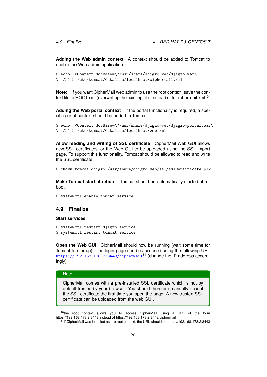**Adding the Web admin context** A context should be added to Tomcat to enable the Web admin application.

```
$ echo "<Context docBase=\"/usr/share/djigzo-web/djigzo.war\
\" />" > /etc/tomcat/Catalina/localhost/ciphermail.xml
```
**Note:** if you want CipherMail web admin to use the root context, save the context file to ROOT.xml (overwriting the existing file) instead of to ciphermail.xml<sup>10</sup>.

**Adding the Web portal context** If the portal functionality is required, a specific portal context should be added to Tomcat.

```
$ echo "<Context docBase=\"/usr/share/djigzo-web/djigzo-portal.war\
\" />" > /etc/tomcat/Catalina/localhost/web.xml
```
**Allow reading and writing of SSL certificate** CipherMail Web GUI allows new SSL certificates for the Web GUI to be uploaded using the SSL import page. To support this functionality, Tomcat should be allowed to read and write the SSL certificate.

\$ chown tomcat:djigzo /usr/share/djigzo-web/ssl/sslCertificate.p12

**Make Tomcat start at reboot** Tomcat should be automatically started at reboot.

\$ systemctl enable tomcat.service

### <span id="page-20-0"></span>**4.9 Finalize**

#### **Start services**

\$ systemctl restart djigzo.service \$ systemctl restart tomcat.service

**Open the Web GUI** CipherMail should now be running (wait some time for Tomcat to startup). The login page can be accessed using the following URL <https://192.168.178.2:8443/ciphermail><sup>11</sup> (change the IP address accordingly)

#### **Note**

CipherMail comes with a pre-installed SSL certificate which is not by default trusted by your browser. You should therefore manually accept the SSL certificate the first time you open the page. A new trusted SSL certificate can be uploaded from the web GUI.

<sup>&</sup>lt;sup>10</sup>the root context allows you to access CipherMail using a URL of the form https://192.168.178.2:8443 instead of https://192.168.178.2:8443/ciphermail

<sup>&</sup>lt;sup>11</sup> if CipherMail was installed as the root context, the URL should be https://192.168.178.2:8443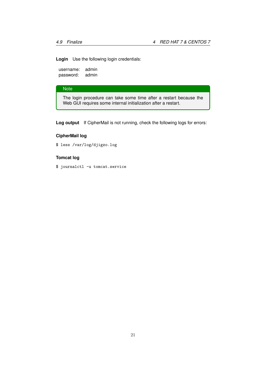**Login** Use the following login credentials:

username: admin password: admin

# **Note**

The login procedure can take some time after a restart because the Web GUI requires some internal initialization after a restart.

**Log output** If CipherMail is not running, check the following logs for errors:

# **CipherMail log**

\$ less /var/log/djigzo.log

# **Tomcat log**

\$ journalctl -u tomcat.service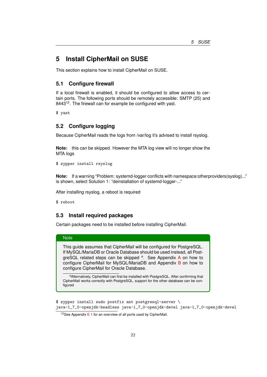# <span id="page-22-0"></span>**5 Install CipherMail on SUSE**

This section explains how to install CipherMail on SUSE.

# <span id="page-22-1"></span>**5.1 Configure firewall**

If a local firewall is enabled, it should be configured to allow access to certain ports. The following ports should be remotely accessible: SMTP (25) and  $8443^{12}$ . The firewall can for example be configured with yast.

\$ yast

# <span id="page-22-2"></span>**5.2 Configure logging**

Because CipherMail reads the logs from /var/log it's advised to install rsyslog.

**Note:** this can be skipped. However the MTA log view will no longer show the MTA logs

\$ zypper install rsyslog

**Note:** If a warning "Problem: systemd-logger conflicts with namespace:otherproviders(syslog)..." is shown, select Solution 1: "deinstallation of systemd-logger-..."

After installing rsyslog, a reboot is required

\$ reboot

# <span id="page-22-3"></span>**5.3 Install required packages**

Certain packages need to be installed before installing CipherMail.

#### **Note**

This guide assumes that CipherMail will be configured for PostgreSQL. If MySQL/MariaDB or Oracle Database should be used instead, all PostgreSQL related steps can be skipped *<sup>a</sup>* . See Appendix [A](#page-28-0) on how to configure CipherMail for MySQL/MariaDB and Appendix [B](#page-31-0) on how to configure CipherMail for Oracle Database.

*<sup>a</sup>*Alternatively, CipherMail can first be installed with PostgreSQL. After confirming that CipherMail works correctly with PostgreSQL, support for the other database can be configured

\$ zypper install sudo postfix ant postgresql-server \ java-1\_7\_0-openjdk-headless java-1\_7\_0-openjdk-devel java-1\_7\_0-openjdk-devel

<sup>12</sup>See Appendix  $E.1$  for an overview of all ports used by CipherMail.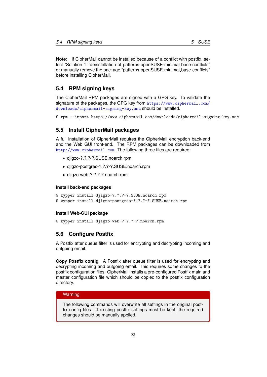**Note:** if CipherMail cannot be installed because of a conflict with postfix, select "Solution 1: deinstallation of patterns-openSUSE-minimal base-conflicts" or manually remove the package "patterns-openSUSE-minimal base-conflicts" before installing CipherMail.

# <span id="page-23-0"></span>**5.4 RPM signing keys**

The CipherMail RPM packages are signed with a GPG key. To validate the signature of the packages, the GPG key from [https://www.ciphermail.com/](https://www.ciphermail.com/downloads/ciphermail-signing-key.asc) [downloads/ciphermail-signing-key.asc](https://www.ciphermail.com/downloads/ciphermail-signing-key.asc) should be installed.

\$ rpm --import https://www.ciphermail.com/downloads/ciphermail-signing-key.asc

# <span id="page-23-1"></span>**5.5 Install CipherMail packages**

A full installation of CipherMail requires the CipherMail encryption back-end and the Web GUI front-end. The RPM packages can be downloaded from <http://www.ciphermail.com>. The following three files are required:

- djigzo-?.?.?-?.SUSE.noarch.rpm
- djigzo-postgres-?.?.?-?.SUSE.noarch.rpm
- djigzo-web-?.?.?-?.noarch.rpm

#### **Install back-end packages**

```
$ zypper install djigzo-?.?.?-?.SUSE.noarch.rpm
$ zypper install djigzo-postgres-?.?.?-?.SUSE.noarch.rpm
```
### **Install Web-GUI package**

\$ zypper install djigzo-web-?.?.?-?.noarch.rpm

# <span id="page-23-2"></span>**5.6 Configure Postfix**

A Postfix after queue filter is used for encrypting and decrypting incoming and outgoing email.

**Copy Postfix config** A Postfix after queue filter is used for encrypting and decrypting incoming and outgoing email. This requires some changes to the postfix configuration files. CipherMail installs a pre-configured Postfix main and master configuration file which should be copied to the postfix configuration directory.

# **Warning**

The following commands will overwrite all settings in the original postfix config files. If existing postfix settings must be kept, the required changes should be manually applied.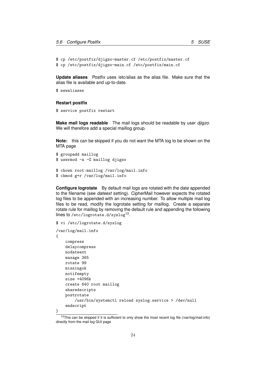```
$ cp /etc/postfix/djigzo-master.cf /etc/postfix/master.cf
$ cp /etc/postfix/djigzo-main.cf /etc/postfix/main.cf
```
**Update aliases** Postfix uses /etc/alias as the alias file. Make sure that the alias file is available and up-to-date.

\$ newaliases

#### **Restart postfix**

\$ service postfix restart

**Make mail logs readable** The mail logs should be readable by user *djigzo*. We will therefore add a special maillog group.

**Note:** this can be skipped if you do not want the MTA log to be shown on the MTA page

```
$ groupadd maillog
$ usermod -a -G maillog djigzo
$ chown root:maillog /var/log/mail.info
```

```
$ chmod g+r /var/log/mail.info
```
**Configure logrotate** By default mail logs are rotated with the date appended to the filename (see *dateext* setting). CipherMail however expects the rotated log files to be appended with an increasing number. To allow multiple mail log files to be read, modify the logrotate setting for maillog. Create a separate rotate rule for maillog by removing the default rule and appending the following lines to /etc/logrotate.d/syslog<sup>13</sup>.

```
$ vi /etc/logrotate.d/syslog
```

```
/var/log/mail.info
{
    compress
    delaycompress
   nodateext
   maxage 365
    rotate 99
   missingok
    notifempty
    size +4096k
    create 640 root maillog
    sharedscripts
    postrotate
        /usr/bin/systemctl reload syslog.service > /dev/null
    endscript
}
```
<sup>&</sup>lt;sup>13</sup>This can be skipped if it is sufficient to only show the most recent log file (/var/log/mail.info) directly from the mail log GUI page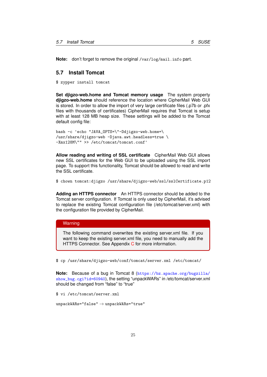**Note:** don't forget to remove the original /var/log/mail.info part.

# <span id="page-25-0"></span>**5.7 Install Tomcat**

\$ zypper install tomcat

<span id="page-25-1"></span>**Set djigzo-web.home and Tomcat memory usage** The system property **djigzo-web.home** should reference the location where CipherMail Web GUI is stored. In order to allow the import of very large certificate files (.p7b or .pfx files with thousands of certificates) CipherMail requires that Tomcat is setup with at least 128 MB heap size. These settings will be added to the Tomcat default config file:

```
bash -c 'echo "JAVA_OPTS=\"-Ddjigzo-web.home=\
/usr/share/djigzo-web -Djava.awt.headless=true \
-Xmx128M\"" >> /etc/tomcat/tomcat.conf'
```
**Allow reading and writing of SSL certificate** CipherMail Web GUI allows new SSL certificates for the Web GUI to be uploaded using the SSL import page. To support this functionality, Tomcat should be allowed to read and write the SSL certificate.

```
$ chown tomcat:djigzo /usr/share/djigzo-web/ssl/sslCertificate.p12
```
**Adding an HTTPS connector** An HTTPS connector should be added to the Tomcat server configuration. If Tomcat is only used by CipherMail, it's advised to replace the existing Tomcat configuration file (/etc/tomcat/server.xml) with the configuration file provided by CipherMail.

### **Warning**

The following command overwrites the existing server.xml file. If you want to keep the existing server.xml file, you need to manually add the HTTPS Connector. See Appendix [C](#page-34-0) for more information.

\$ cp /usr/share/djigzo-web/conf/tomcat/server.xml /etc/tomcat/

**Note:** Because of a bug in Tomcat 8 ([https://bz.apache.org/bugzilla/](https://bz.apache.org/bugzilla/show_bug.cgi?id=60940) [show\\_bug.cgi?id=60940](https://bz.apache.org/bugzilla/show_bug.cgi?id=60940)), the setting "unpackWARs" in /etc/tomcat/server.xml should be changed from "false" to "true"

\$ vi /etc/tomcat/server.xml

```
unpackWARS="false" \rightarrow unpackWARS="true"
```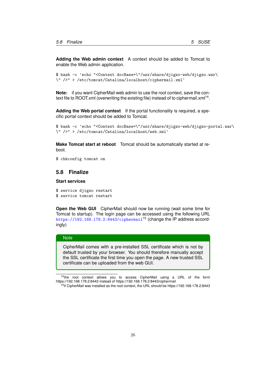**Adding the Web admin context** A context should be added to Tomcat to enable the Web admin application.

```
$ bash -c 'echo "<Context docBase=\"/usr/share/djigzo-web/djigzo.war\
\" />" > /etc/tomcat/Catalina/localhost/ciphermail.xml'
```
**Note:** if you want CipherMail web admin to use the root context, save the context file to ROOT.xml (overwriting the existing file) instead of to ciphermail.xml<sup>14</sup>.

**Adding the Web portal context** If the portal functionality is required, a specific portal context should be added to Tomcat.

```
$ bash -c 'echo "<Context docBase=\"/usr/share/djigzo-web/djigzo-portal.war\
\" />" > /etc/tomcat/Catalina/localhost/web.xml'
```
**Make Tomcat start at reboot** Tomcat should be automatically started at reboot.

```
$ chkconfig tomcat on
```
# <span id="page-26-0"></span>**5.8 Finalize**

### **Start services**

```
$ service djigzo restart
$ service tomcat restart
```
**Open the Web GUI** CipherMail should now be running (wait some time for Tomcat to startup). The login page can be accessed using the following URL <https://192.168.178.2:8443/ciphermail><sup>15</sup> (change the IP address accordingly)

### **Note**

CipherMail comes with a pre-installed SSL certificate which is not by default trusted by your browser. You should therefore manually accept the SSL certificate the first time you open the page. A new trusted SSL certificate can be uploaded from the web GUI.

<sup>14</sup>the root context allows you to access CipherMail using a URL of the form https://192.168.178.2:8443 instead of https://192.168.178.2:8443/ciphermail

<sup>&</sup>lt;sup>15</sup>if CipherMail was installed as the root context, the URL should be https://192.168.178.2:8443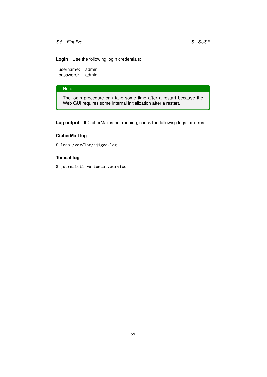**Login** Use the following login credentials:

username: admin password: admin

## **Note**

The login procedure can take some time after a restart because the Web GUI requires some internal initialization after a restart.

**Log output** If CipherMail is not running, check the following logs for errors:

# **CipherMail log**

\$ less /var/log/djigzo.log

# **Tomcat log**

\$ journalctl -u tomcat.service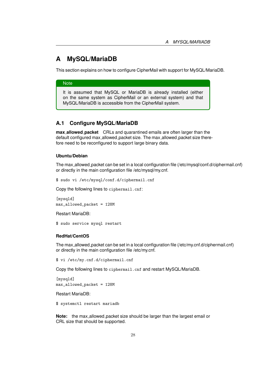# <span id="page-28-0"></span>**A MySQL/MariaDB**

This section explains on how to configure CipherMail with support for MySQL/MariaDB.

### **Note**

It is assumed that MySQL or MariaDB is already installed (either on the same system as CipherMail or an external system) and that MySQL/MariaDB is accessible from the CipherMail system.

# <span id="page-28-1"></span>**A.1 Configure MySQL/MariaDB**

**max allowed packet** CRLs and quarantined emails are often larger than the default configured max\_allowed\_packet size. The max\_allowed\_packet size therefore need to be reconfigured to support large binary data.

### **Ubuntu/Debian**

The max allowed packet can be set in a local configuration file (/etc/mysql/conf.d/ciphermail.cnf) or directly in the main configuration file /etc/mysql/my.cnf.

\$ sudo vi /etc/mysql/conf.d/ciphermail.cnf

Copy the following lines to ciphermail.cnf:

[mysqld] max\_allowed\_packet = 128M

Restart MariaDB:

\$ sudo service mysql restart

#### **RedHat/CentOS**

The max allowed packet can be set in a local configuration file (/etc/my.cnf.d/ciphermail.cnf) or directly in the main configuration file /etc/my.cnf.

\$ vi /etc/my.cnf.d/ciphermail.cnf

Copy the following lines to ciphermail.cnf and restart MySQL/MariaDB.

[mvsqld] max\_allowed\_packet = 128M

Restart MariaDB:

\$ systemctl restart mariadb

**Note:** the max\_allowed\_packet size should be larger than the largest email or CRL size that should be supported.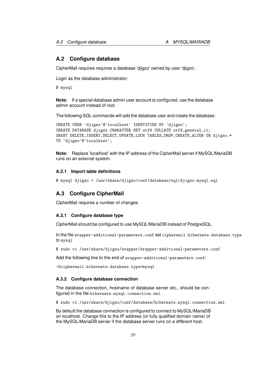# <span id="page-29-0"></span>**A.2 Configure database**

CipherMail requires requires a database 'djigzo' owned by user 'djigzo'.

Login as the database administrator:

\$ mysql

**Note:** If a special database admin user account is configured, use the database admin account instead of root.

The following SQL commands will add the database user and create the database:

```
CREATE USER 'djigzo'@'localhost' IDENTIFIED BY 'djigzo';
CREATE DATABASE djigzo CHARACTER SET utf8 COLLATE utf8_general_ci;
GRANT DELETE,INSERT,SELECT,UPDATE,LOCK TABLES,DROP,CREATE,ALTER ON djigzo.*
TO 'djigzo'@'localhost';
```
**Note:** Replace 'localhost' with the IP address of the CipherMail server if MySQL/MariaDB runs on an external system.

## <span id="page-29-1"></span>**A.2.1 Import table definitions**

\$ mysql djigzo < /usr/share/djigzo/conf/database/sql/djigzo.mysql.sql

### <span id="page-29-2"></span>**A.3 Configure CipherMail**

CipherMail requires a number of changes.

### <span id="page-29-3"></span>**A.3.1 Configure database type**

CipherMail should be configured to use MySQL/MariaDB instead of PostgreSQL.

In the file wrapper-additional-parameters.conf set ciphermail.hibernate.database.type to mysql

\$ sudo vi /usr/share/djigzo/wrapper/wrapper-additional-parameters.conf

Add the following line to the end of wrapper-additional-parameters.conf:

-Dciphermail.hibernate.database.type=mysql

# <span id="page-29-4"></span>**A.3.2 Configure database connection**

The database connection, hostname of database server etc., should be configured in the file hibernate.mysql.connection.xml.

\$ sudo vi /usr/share/djigzo/conf/database/hibernate.mysql.connection.xml

By default the database connection is configured to connect to MySQL/MariaDB on localhost. Change this to the IP address (or fully qualified domain name) of the MySQL/MariaDB server if the database server runs on a different host.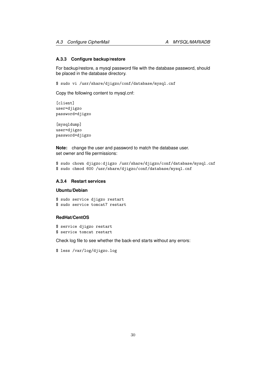### <span id="page-30-0"></span>**A.3.3 Configure backup/restore**

For backup/restore, a mysql password file with the database password, should be placed in the database directory.

\$ sudo vi /usr/share/djigzo/conf/database/mysql.cnf

Copy the following content to mysql.cnf:

[client] user=djigzo password=djigzo

[mysqldump] user=djigzo password=djigzo

**Note:** change the user and password to match the database user. set owner and file permissions:

```
$ sudo chown djigzo:djigzo /usr/share/djigzo/conf/database/mysql.cnf
$ sudo chmod 600 /usr/share/djigzo/conf/database/mysql.cnf
```
# <span id="page-30-1"></span>**A.3.4 Restart services**

# **Ubuntu/Debian**

```
$ sudo service djigzo restart
$ sudo service tomcat7 restart
```
### **RedHat/CentOS**

\$ service djigzo restart \$ service tomcat restart

Check log file to see whether the back-end starts without any errors:

\$ less /var/log/djigzo.log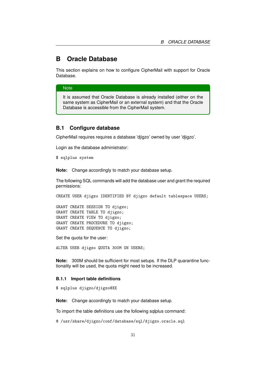# <span id="page-31-0"></span>**B Oracle Database**

This section explains on how to configure CipherMail with support for Oracle Database.

# **Note**

It is assumed that Oracle Database is already installed (either on the same system as CipherMail or an external system) and that the Oracle Database is accessible from the CipherMail system.

## <span id="page-31-1"></span>**B.1 Configure database**

CipherMail requires requires a database 'djigzo' owned by user 'djigzo'.

Login as the database administrator:

\$ sqlplus system

**Note:** Change accordingly to match your database setup.

The following SQL commands will add the database user and grant the required permissions:

CREATE USER djigzo IDENTIFIED BY djigzo default tablespace USERS;

GRANT CREATE SESSION TO djigzo; GRANT CREATE TABLE TO djigzo; GRANT CREATE VIEW TO djigzo; GRANT CREATE PROCEDURE TO djigzo; GRANT CREATE SEQUENCE TO djigzo;

Set the quota for the user:

ALTER USER djigzo QUOTA 300M ON USERS;

**Note:** 300M should be sufficient for most setups. If the DLP quarantine functionality will be used, the quota might need to be increased.

## <span id="page-31-2"></span>**B.1.1 Import table definitions**

\$ sqlplus djigzo/djigzo@XE

**Note:** Change accordingly to match your database setup.

To import the table definitions use the following sqlplus command:

@ /usr/share/djigzo/conf/database/sql/djigzo.oracle.sql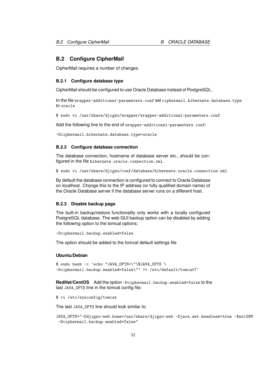# <span id="page-32-0"></span>**B.2 Configure CipherMail**

CipherMail requires a number of changes.

### <span id="page-32-1"></span>**B.2.1 Configure database type**

CipherMail should be configured to use Oracle Database instead of PostgreSQL.

In the file wrapper-additional-parameters.conf set ciphermail.hibernate.database.type to oracle

\$ sudo vi /usr/share/djigzo/wrapper/wrapper-additional-parameters.conf

Add the following line to the end of wrapper-additional-parameters.conf:

-Dciphermail.hibernate.database.type=oracle

### <span id="page-32-2"></span>**B.2.2 Configure database connection**

The database connection, hostname of database server etc., should be configured in the file hibernate.oracle.connection.xml.

\$ sudo vi /usr/share/djigzo/conf/database/hibernate.oracle.connection.xml

By default the database connection is configured to connect to Oracle Database on localhost. Change this to the IP address (or fully qualified domain name) of the Oracle Database server if the database server runs on a different host.

### <span id="page-32-3"></span>**B.2.3 Disable backup page**

The built-in backup/restore functionality only works with a locally configured PostgreSQL database. The web GUI backup option can be disabled by adding the following option to the tomcat options:

```
-Dciphermail.backup.enabled=false
```
The option should be added to the tomcat default settings file

#### **Ubuntu/Debian**

\$ sudo bash -c 'echo "JAVA\_OPTS=\"\\$JAVA\_OPTS \ -Dciphermail.backup.enabled=false\"" >> /etc/default/tomcat7'

**RedHat/CentOS** Add the option -Dciphermail.backup.enabled=false to the last JAVA\_OPTS line in the tomcat config file:

\$ vi /etc/sysconfig/tomcat

The last JAVA\_OPTS line should look similar to:

JAVA\_OPTS="-Ddjigzo-web.home=/usr/share/djigzo-web -Djava.awt.headless=true -Xmx128M -Dciphermail.backup.enabled=false"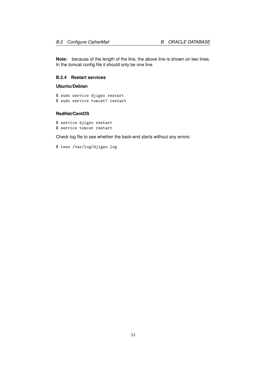**Note:** because of the length of the line, the above line is shown on two lines. In the tomcat config file it should only be one line.

# <span id="page-33-0"></span>**B.2.4 Restart services**

### **Ubuntu/Debian**

\$ sudo service djigzo restart \$ sudo service tomcat7 restart

### **RedHat/CentOS**

\$ service djigzo restart \$ service tomcat restart

Check log file to see whether the back-end starts without any errors:

\$ less /var/log/djigzo.log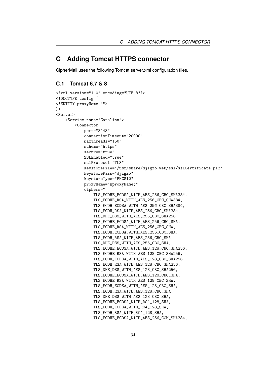# <span id="page-34-0"></span>**C Adding Tomcat HTTPS connector**

CipherMail uses the following Tomcat server.xml configuration files.

# <span id="page-34-1"></span>**C.1 Tomcat 6,7 & 8**

```
<?xml version="1.0" encoding="UTF-8"?>
<!DOCTYPE config [
<!ENTITY proxyName "">
\geq<Server>
    <Service name="Catalina">
        <Connector
            port="8443"
            connectionTimeout="20000"
            maxThreads="150"
            scheme="https"
            secure="true"
            SSLEnabled="true"
            sslProtocol="TLS"
            keystoreFile="/usr/share/djigzo-web/ssl/sslCertificate.p12"
            keystorePass="djigzo"
            keystoreType="PKCS12"
            proxyName="&proxyName;"
            ciphers="
                TLS_ECDHE_ECDSA_WITH_AES_256_CBC_SHA384,
                TLS_ECDHE_RSA_WITH_AES_256_CBC_SHA384,
                TLS_ECDH_ECDSA_WITH_AES_256_CBC_SHA384,
                TLS_ECDH_RSA_WITH_AES_256_CBC_SHA384,
                TLS_DHE_DSS_WITH_AES_256_CBC_SHA256,
                TLS_ECDHE_ECDSA_WITH_AES_256_CBC_SHA,
                TLS_ECDHE_RSA_WITH_AES_256_CBC_SHA,
                TLS_ECDH_ECDSA_WITH_AES_256_CBC_SHA,
                TLS_ECDH_RSA_WITH_AES_256_CBC_SHA,
                TLS_DHE_DSS_WITH_AES_256_CBC_SHA,
                TLS_ECDHE_ECDSA_WITH_AES_128_CBC_SHA256,
                TLS_ECDHE_RSA_WITH_AES_128_CBC_SHA256,
                TLS_ECDH_ECDSA_WITH_AES_128_CBC_SHA256,
                TLS_ECDH_RSA_WITH_AES_128_CBC_SHA256,
                TLS_DHE_DSS_WITH_AES_128_CBC_SHA256,
                TLS_ECDHE_ECDSA_WITH_AES_128_CBC_SHA,
                TLS_ECDHE_RSA_WITH_AES_128_CBC_SHA,
                TLS_ECDH_ECDSA_WITH_AES_128_CBC_SHA,
                TLS_ECDH_RSA_WITH_AES_128_CBC_SHA,
                TLS_DHE_DSS_WITH_AES_128_CBC_SHA,
                TLS_ECDHE_ECDSA_WITH_RC4_128_SHA,
                TLS_ECDH_ECDSA_WITH_RC4_128_SHA,
                TLS_ECDH_RSA_WITH_RC4_128_SHA,
                TLS_ECDHE_ECDSA_WITH_AES_256_GCM_SHA384,
```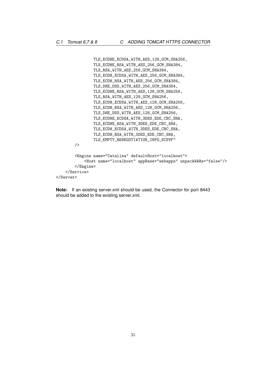```
TLS_ECDHE_ECDSA_WITH_AES_128_GCM_SHA256,
               TLS_ECDHE_RSA_WITH_AES_256_GCM_SHA384,
               TLS_RSA_WITH_AES_256_GCM_SHA384,
               TLS_ECDH_ECDSA_WITH_AES_256_GCM_SHA384,
               TLS_ECDH_RSA_WITH_AES_256_GCM_SHA384,
               TLS_DHE_DSS_WITH_AES_256_GCM_SHA384,
               TLS_ECDHE_RSA_WITH_AES_128_GCM_SHA256,
               TLS_RSA_WITH_AES_128_GCM_SHA256,
                TLS_ECDH_ECDSA_WITH_AES_128_GCM_SHA256,
                TLS_ECDH_RSA_WITH_AES_128_GCM_SHA256,
                TLS_DHE_DSS_WITH_AES_128_GCM_SHA256,
               TLS_ECDHE_ECDSA_WITH_3DES_EDE_CBC_SHA,
               TLS_ECDHE_RSA_WITH_3DES_EDE_CBC_SHA,
               TLS_ECDH_ECDSA_WITH_3DES_EDE_CBC_SHA,
               TLS_ECDH_RSA_WITH_3DES_EDE_CBC_SHA,
               TLS_EMPTY_RENEGOTIATION_INFO_SCSVF"
       />
        <Engine name="Catalina" defaultHost="localhost">
            <Host name="localhost" appBase="webapps" unpackWARs="false"/>
       </Engine>
   </Service>
</Server>
```
**Note:** If an existing server.xml should be used, the Connector for port 8443 should be added to the existing server.xml.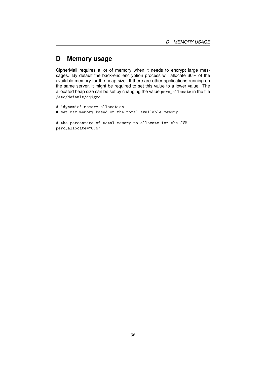# <span id="page-36-0"></span>**D Memory usage**

CipherMail requires a lot of memory when it needs to encrypt large messages. By default the back-end encryption process will allocate 60% of the available memory for the heap size. If there are other applications running on the same server, it might be required to set this value to a lower value. The allocated heap size can be set by changing the value perc\_allocate in the file /etc/default/djigzo

```
# 'dynamic' memory allocation
# set max memory based on the total available memory
# the percentage of total memory to allocate for the JVM
perc_allocate="0.6"
```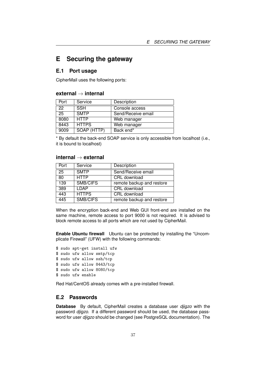# <span id="page-37-0"></span>**E Securing the gateway**

# <span id="page-37-1"></span>**E.1 Port usage**

CipherMail uses the following ports:

# **external** → **internal**

| Port | Service      | Description        |
|------|--------------|--------------------|
| 22   | <b>SSH</b>   | Console access     |
| 25   | <b>SMTP</b>  | Send/Receive email |
| 8080 | <b>HTTP</b>  | Web manager        |
| 8443 | <b>HTTPS</b> | Web manager        |
| 9009 | SOAP (HTTP)  | Back end*          |

\* By default the back-end SOAP service is only accessible from localhost (i.e., it is bound to localhost)

### **internal** → **external**

| Port | Service      | Description               |
|------|--------------|---------------------------|
| 25   | <b>SMTP</b>  | Send/Receive email        |
| 80   | <b>HTTP</b>  | CRL download              |
| 139  | SMB/CIFS     | remote backup and restore |
| 389  | LDAP         | CRL download              |
| 443  | <b>HTTPS</b> | CRL download              |
| 445  | SMB/CIFS     | remote backup and restore |

When the encryption back-end and Web GUI front-end are installed on the same machine, remote access to port 9000 is not required. It is advised to block remote access to all ports which are not used by CipherMail.

**Enable Ubuntu firewall** Ubuntu can be protected by installing the "Uncomplicate Firewall" (UFW) with the following commands:

\$ sudo apt-get install ufw \$ sudo ufw allow smtp/tcp \$ sudo ufw allow ssh/tcp \$ sudo ufw allow 8443/tcp \$ sudo ufw allow 8080/tcp \$ sudo ufw enable

Red Hat/CentOS already comes with a pre-installed firewall.

# <span id="page-37-2"></span>**E.2 Passwords**

**Database** By default, CipherMail creates a database user *djigzo* with the password *djigzo*. If a different password should be used, the database password for user *djigzo* should be changed (see PostgreSQL documentation). The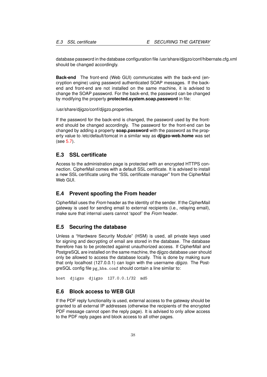database password in the database configuration file /usr/share/djigzo/conf/hibernate.cfg.xml should be changed accordingly.

**Back-end** The front-end (Web GUI) communicates with the back-end (encryption engine) using password authenticated SOAP messages. If the backend and front-end are not installed on the same machine, it is advised to change the SOAP password. For the back-end, the password can be changed by modifying the property **protected.system.soap.password** in file:

/usr/share/djigzo/conf/djigzo.properties.

If the password for the back-end is changed, the password used by the frontend should be changed accordingly. The password for the front-end can be changed by adding a property **soap.password** with the password as the property value to /etc/default/tomcat in a similar way as **djigzo-web.home** was set (see [5.7\)](#page-25-1).

# <span id="page-38-0"></span>**E.3 SSL certificate**

Access to the administration page is protected with an encrypted HTTPS connection. CipherMail comes with a default SSL certificate. It is advised to install a new SSL certificate using the "SSL certificate manager" from the CipherMail Web GUI.

# <span id="page-38-1"></span>**E.4 Prevent spoofing the From header**

CipherMail uses the *From* header as the identity of the sender. If the CipherMail gateway is used for sending email to external recipients (i.e., relaying email), make sure that internal users cannot 'spoof' the *From* header.

### <span id="page-38-2"></span>**E.5 Securing the database**

Unless a "Hardware Security Module" (HSM) is used, all private keys used for signing and decrypting of email are stored in the database. The database therefore has to be protected against unauthorized access. If CipherMail and PostgreSQL are installed on the same machine, the djigzo database user should only be allowed to access the database locally. This is done by making sure that only localhost (127.0.0.1) can login with the username *djigzo*. The PostgreSQL config file pg\_hba.conf should contain a line similar to:

host djigzo djigzo 127.0.0.1/32 md5

# <span id="page-38-3"></span>**E.6 Block access to WEB GUI**

If the PDF reply functionality is used, external access to the gateway should be granted to all external IP addresses (otherwise the recipients of the encrypted PDF message cannot open the reply page). It is advised to only allow access to the PDF reply pages and block access to all other pages.